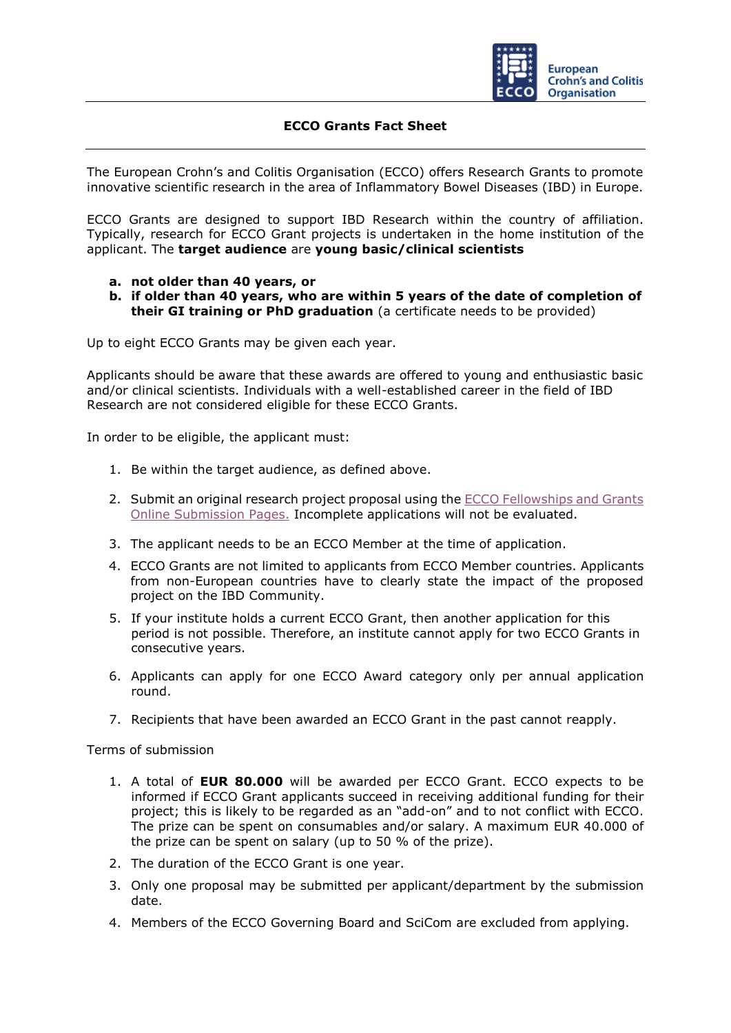

# **ECCO Grants Fact Sheet**

The European Crohn's and Colitis Organisation (ECCO) offers Research Grants to promote innovative scientific research in the area of Inflammatory Bowel Diseases (IBD) in Europe.

ECCO Grants are designed to support IBD Research within the country of affiliation. Typically, research for ECCO Grant projects is undertaken in the home institution of the applicant. The **target audience** are **young basic/clinical scientists** 

## **a. not older than 40 years, or**

**b. if older than 40 years, who are within 5 years of the date of completion of their GI training or PhD graduation** (a certificate needs to be provided)

Up to eight ECCO Grants may be given each year.

Applicants should be aware that these awards are offered to young and enthusiastic basic and/or clinical scientists. Individuals with a well-established career in the field of IBD Research are not considered eligible for these ECCO Grants.

In order to be eligible, the applicant must:

- 1. Be within the target audience, as defined above.
- 2. Submit an original research project proposal using the **ECCO Fellowships and Grants** [Online Submission Pages.](https://cm.ecco-ibd.eu/cmPortal/Proposal/ASSOC22/config/normal/redirectconfig/Grant) Incomplete applications will not be evaluated.
- 3. The applicant needs to be an ECCO Member at the time of application.
- 4. ECCO Grants are not limited to applicants from ECCO Member countries. Applicants from non-European countries have to clearly state the impact of the proposed project on the IBD Community.
- 5. If your institute holds a current ECCO Grant, then another application for this period is not possible. Therefore, an institute cannot apply for two ECCO Grants in consecutive years.
- 6. Applicants can apply for one ECCO Award category only per annual application round.
- 7. Recipients that have been awarded an ECCO Grant in the past cannot reapply.

Terms of submission

- 1. A total of **EUR 80.000** will be awarded per ECCO Grant. ECCO expects to be informed if ECCO Grant applicants succeed in receiving additional funding for their project; this is likely to be regarded as an "add-on" and to not conflict with ECCO. The prize can be spent on consumables and/or salary. A maximum EUR 40.000 of the prize can be spent on salary (up to 50 % of the prize).
- 2. The duration of the ECCO Grant is one year.
- 3. Only one proposal may be submitted per applicant/department by the submission date.
- 4. Members of the ECCO Governing Board and SciCom are excluded from applying.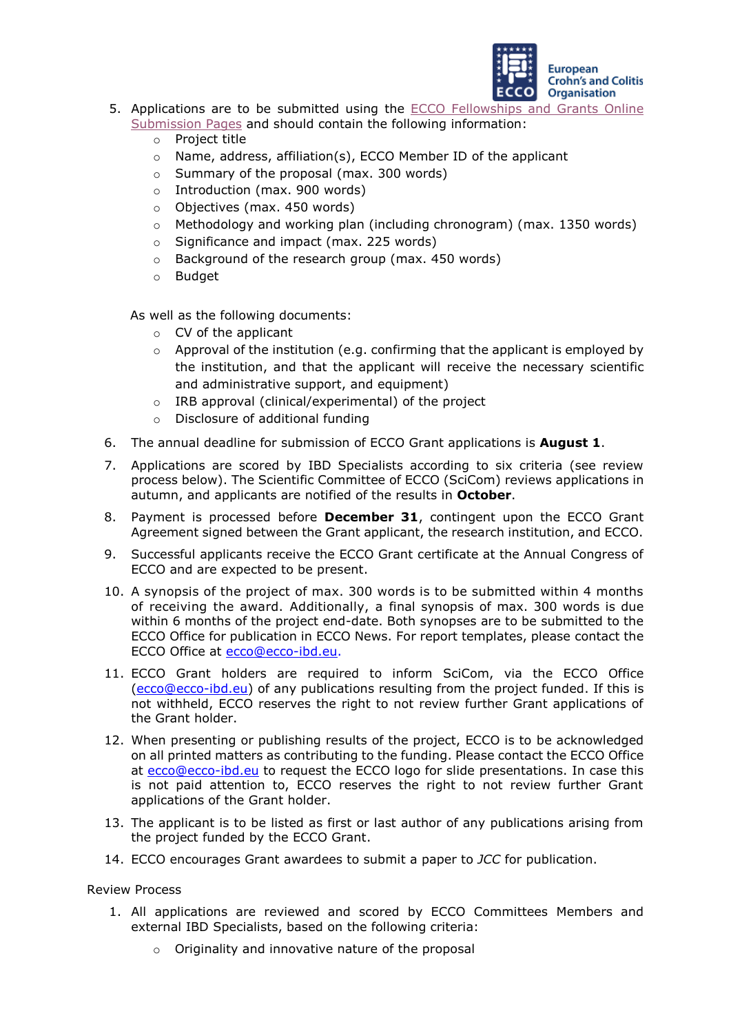

- 5. Applications are to be submitted using the [ECCO Fellowships and Grants Online](https://cm.ecco-ibd.eu/cmPortal/Proposal/ASSOC22/config/normal/redirectconfig/Grant) 
	- [Submission Pages](https://cm.ecco-ibd.eu/cmPortal/Proposal/ASSOC22/config/normal/redirectconfig/Grant) and should contain the following information:
		- o Project title
		- o Name, address, affiliation(s), ECCO Member ID of the applicant
		- o Summary of the proposal (max. 300 words)
		- o Introduction (max. 900 words)
		- o Objectives (max. 450 words)
		- $\circ$  Methodology and working plan (including chronogram) (max. 1350 words)
		- o Significance and impact (max. 225 words)
		- o Background of the research group (max. 450 words)
		- o Budget

As well as the following documents:

- o CV of the applicant
- o Approval of the institution (e.g. confirming that the applicant is employed by the institution, and that the applicant will receive the necessary scientific and administrative support, and equipment)
- o IRB approval (clinical/experimental) of the project
- o Disclosure of additional funding
- 6. The annual deadline for submission of ECCO Grant applications is **August 1**.
- 7. Applications are scored by IBD Specialists according to six criteria (see review process below). The Scientific Committee of ECCO (SciCom) reviews applications in autumn, and applicants are notified of the results in **October**.
- 8. Payment is processed before **December 31**, contingent upon the ECCO Grant Agreement signed between the Grant applicant, the research institution, and ECCO.
- 9. Successful applicants receive the ECCO Grant certificate at the Annual Congress of ECCO and are expected to be present.
- 10. A synopsis of the project of max. 300 words is to be submitted within 4 months of receiving the award. Additionally, a final synopsis of max. 300 words is due within 6 months of the project end-date. Both synopses are to be submitted to the ECCO Office for publication in ECCO News. For report templates, please contact the ECCO Office at ecco@ecco-ibd.eu.
- 11. ECCO Grant holders are required to inform SciCom, via the ECCO Office (ecco@ecco-ibd.eu) of any publications resulting from the project funded. If this is not withheld, ECCO reserves the right to not review further Grant applications of the Grant holder.
- 12. When presenting or publishing results of the project, ECCO is to be acknowledged on all printed matters as contributing to the funding. Please contact the ECCO Office at [ecco@ecco-ibd.eu](mailto:ecco@ecco-ibd.eu) to request the ECCO logo for slide presentations. In case this is not paid attention to, ECCO reserves the right to not review further Grant applications of the Grant holder.
- 13. The applicant is to be listed as first or last author of any publications arising from the project funded by the ECCO Grant.
- 14. ECCO encourages Grant awardees to submit a paper to *JCC* for publication.

#### Review Process

- 1. All applications are reviewed and scored by ECCO Committees Members and external IBD Specialists, based on the following criteria:
	- o Originality and innovative nature of the proposal